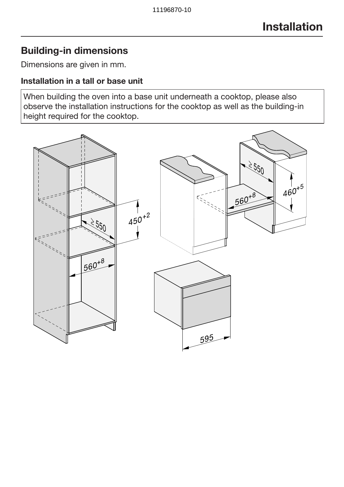# Building-in dimensions

Dimensions are given in mm.

#### Installation in a tall or base unit

When building the oven into a base unit underneath a cooktop, please also observe the installation instructions for the cooktop as well as the building-in height required for the cooktop.

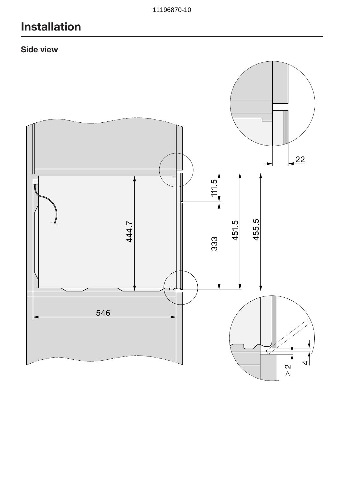# Installation

### Side view

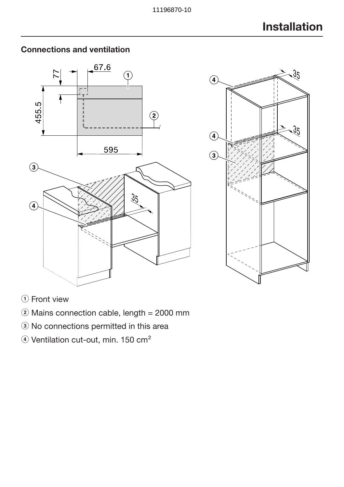

# Connections and ventilation



#### (1) Front view

- $\ddot{2}$  Mains connection cable, length = 2000 mm
- <sup>3</sup> No connections permitted in this area
- 4) Ventilation cut-out, min. 150 cm<sup>2</sup>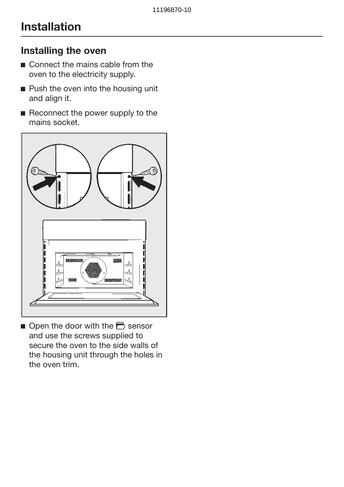# Installation

# Installing the oven

- Connect the mains cable from the oven to the electricity supply.
- **Push the oven into the housing unit** and align it.
- Reconnect the power supply to the mains socket.



 $\Box$  Open the door with the  $\Box$  sensor and use the screws supplied to secure the oven to the side walls of the housing unit through the holes in the oven trim.